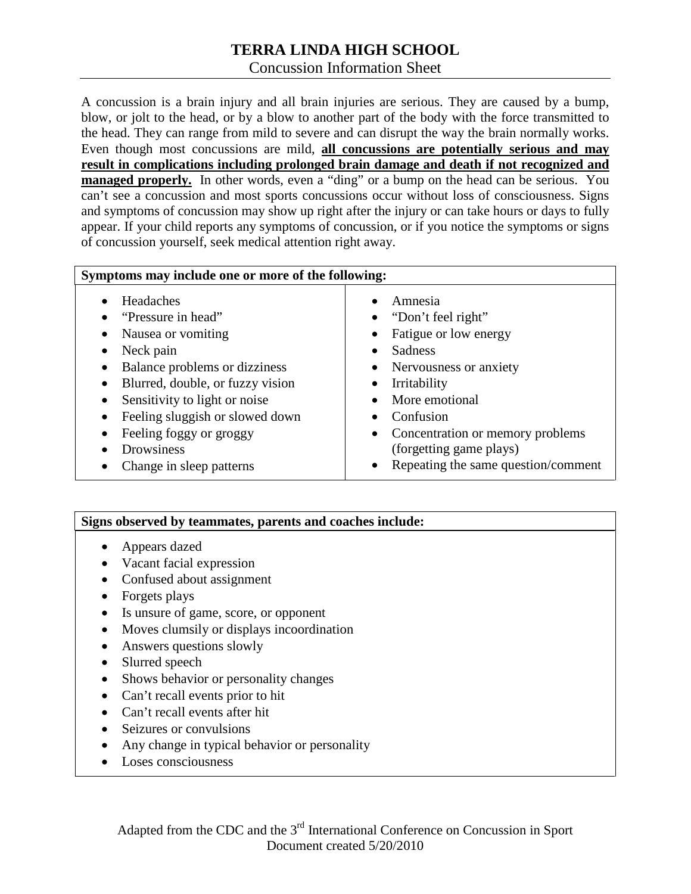# **TERRA LINDA HIGH SCHOOL** Concussion Information Sheet

A concussion is a brain injury and all brain injuries are serious. They are caused by a bump, blow, or jolt to the head, or by a blow to another part of the body with the force transmitted to the head. They can range from mild to severe and can disrupt the way the brain normally works. Even though most concussions are mild, **all concussions are potentially serious and may result in complications including prolonged brain damage and death if not recognized and managed properly.** In other words, even a "ding" or a bump on the head can be serious. You can't see a concussion and most sports concussions occur without loss of consciousness. Signs and symptoms of concussion may show up right after the injury or can take hours or days to fully appear. If your child reports any symptoms of concussion, or if you notice the symptoms or signs of concussion yourself, seek medical attention right away.

| Symptoms may include one or more of the following:                                                                                                                                                                                                                                           |                                                                                                                                                                                                                                                                                                                                  |
|----------------------------------------------------------------------------------------------------------------------------------------------------------------------------------------------------------------------------------------------------------------------------------------------|----------------------------------------------------------------------------------------------------------------------------------------------------------------------------------------------------------------------------------------------------------------------------------------------------------------------------------|
| Headaches<br>"Pressure in head"<br>Nausea or vomiting<br>Neck pain<br>Balance problems or dizziness<br>Blurred, double, or fuzzy vision<br>٠<br>Sensitivity to light or noise<br>Feeling sluggish or slowed down<br>Feeling foggy or groggy<br><b>Drowsiness</b><br>Change in sleep patterns | Amnesia<br>"Don't feel right"<br>$\bullet$<br>Fatigue or low energy<br>$\bullet$<br>Sadness<br>$\bullet$<br>Nervousness or anxiety<br>٠<br>Irritability<br>٠<br>More emotional<br>$\bullet$<br>Confusion<br>Concentration or memory problems<br>$\bullet$<br>(forgetting game plays)<br>Repeating the same question/comment<br>٠ |

### **Signs observed by teammates, parents and coaches include:**

- Appears dazed
- Vacant facial expression
- Confused about assignment
- Forgets plays
- Is unsure of game, score, or opponent
- Moves clumsily or displays incoordination
- Answers questions slowly
- Slurred speech
- Shows behavior or personality changes
- Can't recall events prior to hit
- Can't recall events after hit
- Seizures or convulsions
- Any change in typical behavior or personality
- Loses consciousness